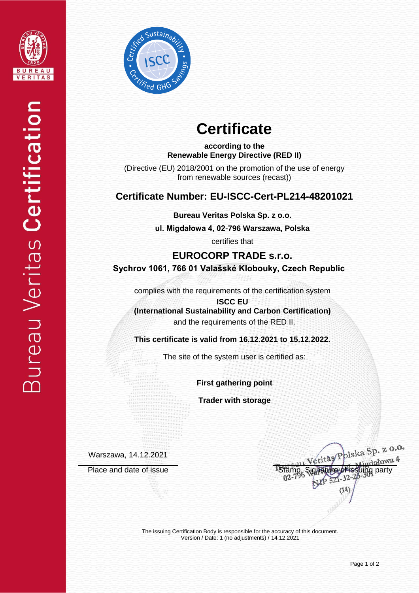



# **Certificate**

**according to the Renewable Energy Directive (RED II)**

(Directive (EU) 2018/2001 on the promotion of the use of energy from renewable sources (recast))

## **Certificate Number: EU-ISCC-Cert-PL214-48201021**

**Bureau Veritas Polska Sp. z o.o.**

**ul. Migdałowa 4, 02-796 Warszawa, Polska** 

certifies that

**EUROCORP TRADE s.r.o. Sychrov 1061, 766 01 Valašské Klobouky, Czech Republic**

complies with the requirements of the certification system

**ISCC EU (International Sustainability and Carbon Certification)** and the requirements of the RED II.

**This certificate is valid from 16.12.2021 to 15.12.2022.**

The site of the system user is certified as:

**First gathering point**

**Trader with storage**

Warszawa, 14.12.2021

eritas Polska Sp. z 0.0. Place and date of issue **Stamp, Signature of issuing** party

The issuing Certification Body is responsible for the accuracy of this document. Version / Date: 1 (no adjustments) / 14.12.2021